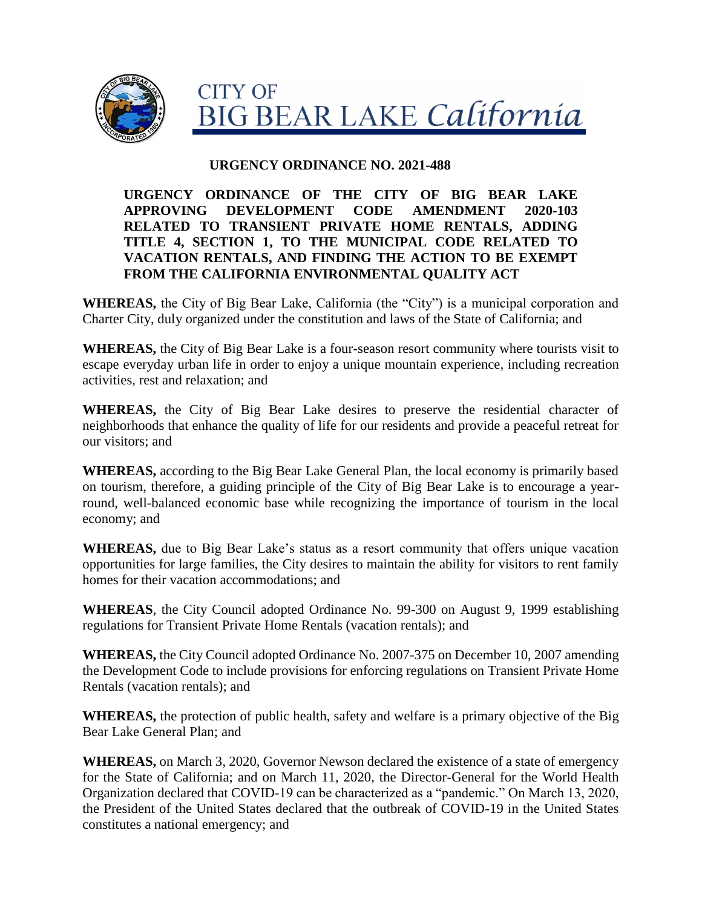

### **URGENCY ORDINANCE NO. 2021-488**

## **URGENCY ORDINANCE OF THE CITY OF BIG BEAR LAKE APPROVING DEVELOPMENT CODE AMENDMENT 2020-103 RELATED TO TRANSIENT PRIVATE HOME RENTALS, ADDING TITLE 4, SECTION 1, TO THE MUNICIPAL CODE RELATED TO VACATION RENTALS, AND FINDING THE ACTION TO BE EXEMPT FROM THE CALIFORNIA ENVIRONMENTAL QUALITY ACT**

**WHEREAS,** the City of Big Bear Lake, California (the "City") is a municipal corporation and Charter City, duly organized under the constitution and laws of the State of California; and

**WHEREAS,** the City of Big Bear Lake is a four-season resort community where tourists visit to escape everyday urban life in order to enjoy a unique mountain experience, including recreation activities, rest and relaxation; and

**WHEREAS,** the City of Big Bear Lake desires to preserve the residential character of neighborhoods that enhance the quality of life for our residents and provide a peaceful retreat for our visitors; and

**WHEREAS,** according to the Big Bear Lake General Plan, the local economy is primarily based on tourism, therefore, a guiding principle of the City of Big Bear Lake is to encourage a yearround, well-balanced economic base while recognizing the importance of tourism in the local economy; and

**WHEREAS,** due to Big Bear Lake's status as a resort community that offers unique vacation opportunities for large families, the City desires to maintain the ability for visitors to rent family homes for their vacation accommodations; and

**WHEREAS**, the City Council adopted Ordinance No. 99-300 on August 9, 1999 establishing regulations for Transient Private Home Rentals (vacation rentals); and

**WHEREAS,** the City Council adopted Ordinance No. 2007-375 on December 10, 2007 amending the Development Code to include provisions for enforcing regulations on Transient Private Home Rentals (vacation rentals); and

**WHEREAS,** the protection of public health, safety and welfare is a primary objective of the Big Bear Lake General Plan; and

**WHEREAS,** on March 3, 2020, Governor Newson declared the existence of a state of emergency for the State of California; and on March 11, 2020, the Director-General for the World Health Organization declared that COVID-19 can be characterized as a "pandemic." On March 13, 2020, the President of the United States declared that the outbreak of COVID-19 in the United States constitutes a national emergency; and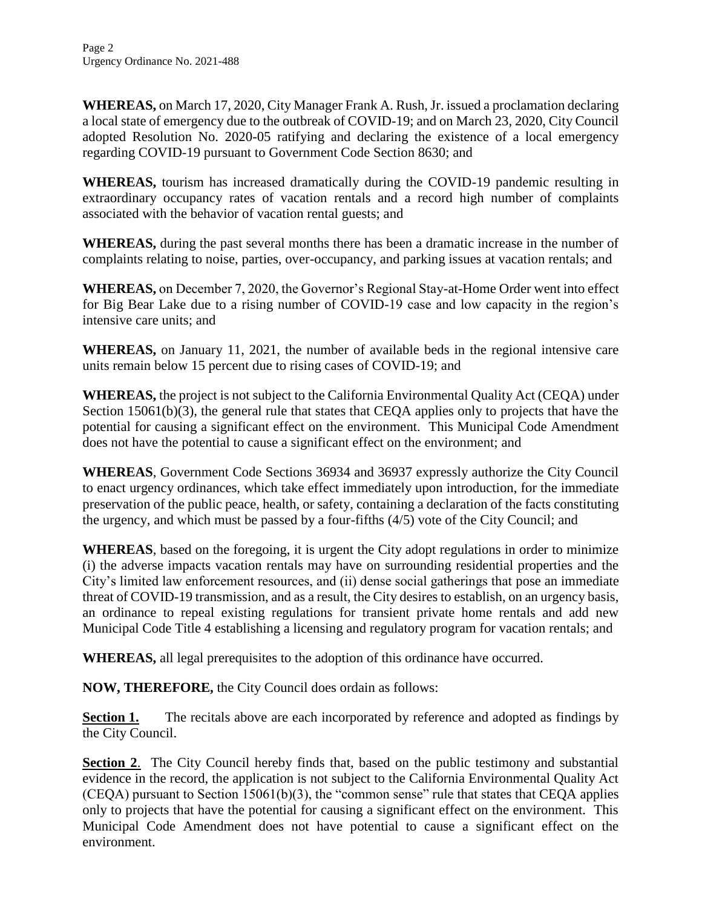**WHEREAS,** on March 17, 2020, City Manager Frank A. Rush, Jr. issued a proclamation declaring a local state of emergency due to the outbreak of COVID-19; and on March 23, 2020, City Council adopted Resolution No. 2020-05 ratifying and declaring the existence of a local emergency regarding COVID-19 pursuant to Government Code Section 8630; and

**WHEREAS,** tourism has increased dramatically during the COVID-19 pandemic resulting in extraordinary occupancy rates of vacation rentals and a record high number of complaints associated with the behavior of vacation rental guests; and

**WHEREAS,** during the past several months there has been a dramatic increase in the number of complaints relating to noise, parties, over-occupancy, and parking issues at vacation rentals; and

**WHEREAS,** on December 7, 2020, the Governor's Regional Stay-at-Home Order went into effect for Big Bear Lake due to a rising number of COVID-19 case and low capacity in the region's intensive care units; and

**WHEREAS,** on January 11, 2021, the number of available beds in the regional intensive care units remain below 15 percent due to rising cases of COVID-19; and

**WHEREAS,** the project is not subject to the California Environmental Quality Act (CEQA) under Section 15061(b)(3), the general rule that states that CEOA applies only to projects that have the potential for causing a significant effect on the environment. This Municipal Code Amendment does not have the potential to cause a significant effect on the environment; and

**WHEREAS**, Government Code Sections 36934 and 36937 expressly authorize the City Council to enact urgency ordinances, which take effect immediately upon introduction, for the immediate preservation of the public peace, health, or safety, containing a declaration of the facts constituting the urgency, and which must be passed by a four-fifths (4/5) vote of the City Council; and

**WHEREAS**, based on the foregoing, it is urgent the City adopt regulations in order to minimize (i) the adverse impacts vacation rentals may have on surrounding residential properties and the City's limited law enforcement resources, and (ii) dense social gatherings that pose an immediate threat of COVID-19 transmission, and as a result, the City desires to establish, on an urgency basis, an ordinance to repeal existing regulations for transient private home rentals and add new Municipal Code Title 4 establishing a licensing and regulatory program for vacation rentals; and

**WHEREAS,** all legal prerequisites to the adoption of this ordinance have occurred.

**NOW, THEREFORE,** the City Council does ordain as follows:

**Section 1.** The recitals above are each incorporated by reference and adopted as findings by the City Council.

**Section 2.** The City Council hereby finds that, based on the public testimony and substantial evidence in the record, the application is not subject to the California Environmental Quality Act (CEQA) pursuant to Section 15061(b)(3), the "common sense" rule that states that CEQA applies only to projects that have the potential for causing a significant effect on the environment. This Municipal Code Amendment does not have potential to cause a significant effect on the environment.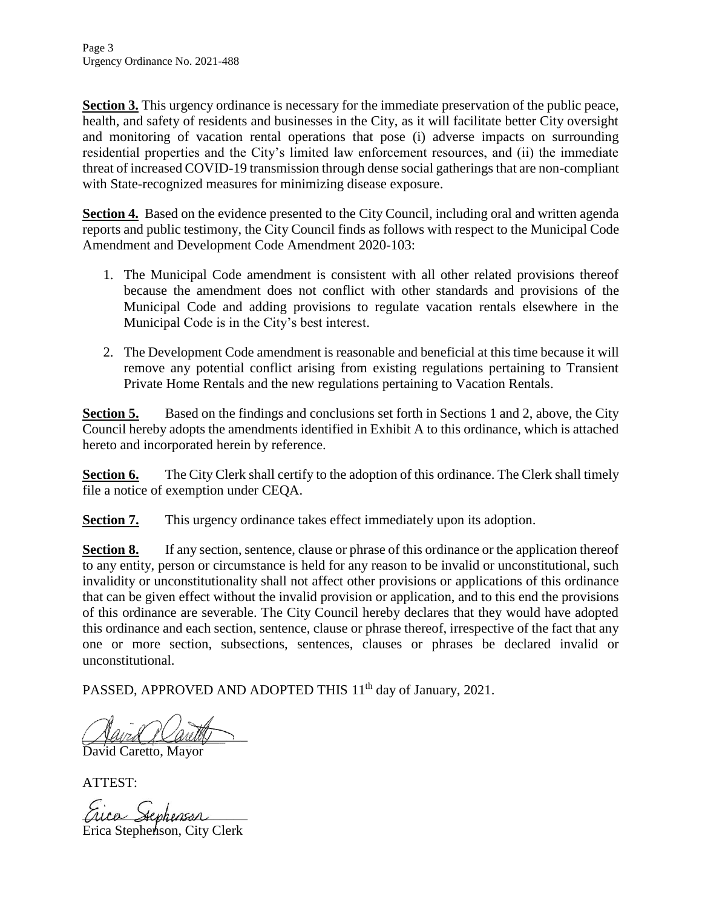**Section 3.** This urgency ordinance is necessary for the immediate preservation of the public peace, health, and safety of residents and businesses in the City, as it will facilitate better City oversight and monitoring of vacation rental operations that pose (i) adverse impacts on surrounding residential properties and the City's limited law enforcement resources, and (ii) the immediate threat of increased COVID-19 transmission through dense social gatherings that are non-compliant with State-recognized measures for minimizing disease exposure.

**Section 4.** Based on the evidence presented to the City Council, including oral and written agenda reports and public testimony, the City Council finds as follows with respect to the Municipal Code Amendment and Development Code Amendment 2020-103:

- 1. The Municipal Code amendment is consistent with all other related provisions thereof because the amendment does not conflict with other standards and provisions of the Municipal Code and adding provisions to regulate vacation rentals elsewhere in the Municipal Code is in the City's best interest.
- 2. The Development Code amendment is reasonable and beneficial at this time because it will remove any potential conflict arising from existing regulations pertaining to Transient Private Home Rentals and the new regulations pertaining to Vacation Rentals.

**Section 5.** Based on the findings and conclusions set forth in Sections 1 and 2, above, the City Council hereby adopts the amendments identified in Exhibit A to this ordinance, which is attached hereto and incorporated herein by reference.

**Section 6.** The City Clerk shall certify to the adoption of this ordinance. The Clerk shall timely file a notice of exemption under CEQA.

**Section 7.** This urgency ordinance takes effect immediately upon its adoption.

**Section 8.** If any section, sentence, clause or phrase of this ordinance or the application thereof to any entity, person or circumstance is held for any reason to be invalid or unconstitutional, such invalidity or unconstitutionality shall not affect other provisions or applications of this ordinance that can be given effect without the invalid provision or application, and to this end the provisions of this ordinance are severable. The City Council hereby declares that they would have adopted this ordinance and each section, sentence, clause or phrase thereof, irrespective of the fact that any one or more section, subsections, sentences, clauses or phrases be declared invalid or unconstitutional.

PASSED, APPROVED AND ADOPTED THIS 11<sup>th</sup> day of January, 2021.

 $\mathcal{L}$  and  $\mathcal{L}$  and  $\mathcal{L}$ 

David Caretto, Mayor

ATTEST:

Frica Stephenson Erica Stephenson, City Clerk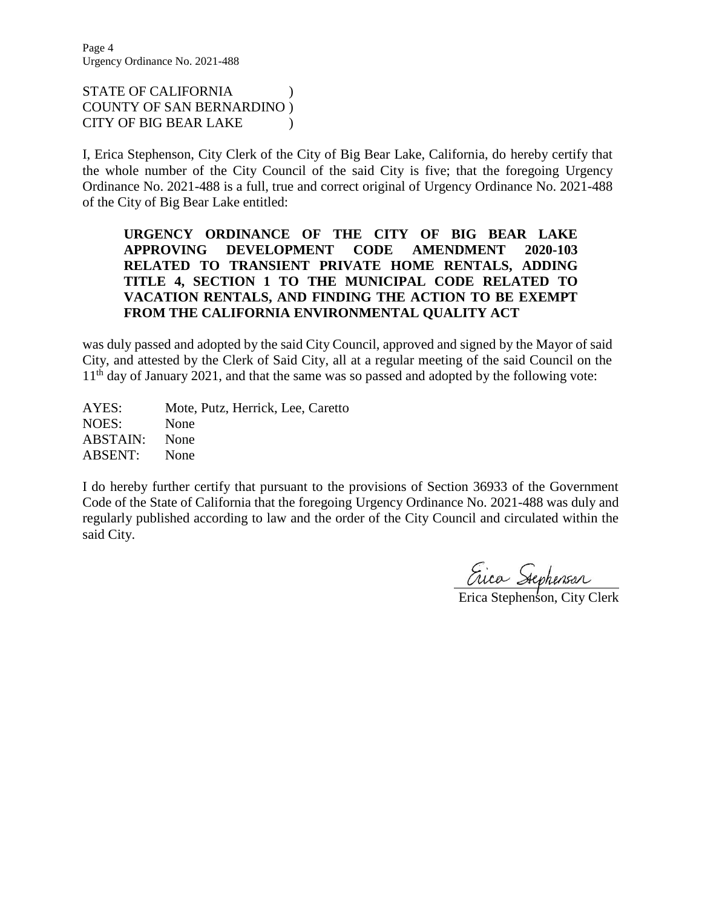Page 4 Urgency Ordinance No. 2021-488

STATE OF CALIFORNIA ) COUNTY OF SAN BERNARDINO ) CITY OF BIG BEAR LAKE )

I, Erica Stephenson, City Clerk of the City of Big Bear Lake, California, do hereby certify that the whole number of the City Council of the said City is five; that the foregoing Urgency Ordinance No. 2021-488 is a full, true and correct original of Urgency Ordinance No. 2021-488 of the City of Big Bear Lake entitled:

### **URGENCY ORDINANCE OF THE CITY OF BIG BEAR LAKE APPROVING DEVELOPMENT CODE AMENDMENT 2020-103 RELATED TO TRANSIENT PRIVATE HOME RENTALS, ADDING TITLE 4, SECTION 1 TO THE MUNICIPAL CODE RELATED TO VACATION RENTALS, AND FINDING THE ACTION TO BE EXEMPT FROM THE CALIFORNIA ENVIRONMENTAL QUALITY ACT**

was duly passed and adopted by the said City Council, approved and signed by the Mayor of said City, and attested by the Clerk of Said City, all at a regular meeting of the said Council on the 11<sup>th</sup> day of January 2021, and that the same was so passed and adopted by the following vote:

AYES: Mote, Putz, Herrick, Lee, Caretto NOES: None ABSTAIN: None ABSENT: None

I do hereby further certify that pursuant to the provisions of Section 36933 of the Government Code of the State of California that the foregoing Urgency Ordinance No. 2021-488 was duly and regularly published according to law and the order of the City Council and circulated within the said City.

Erica Stephenson, City Clerk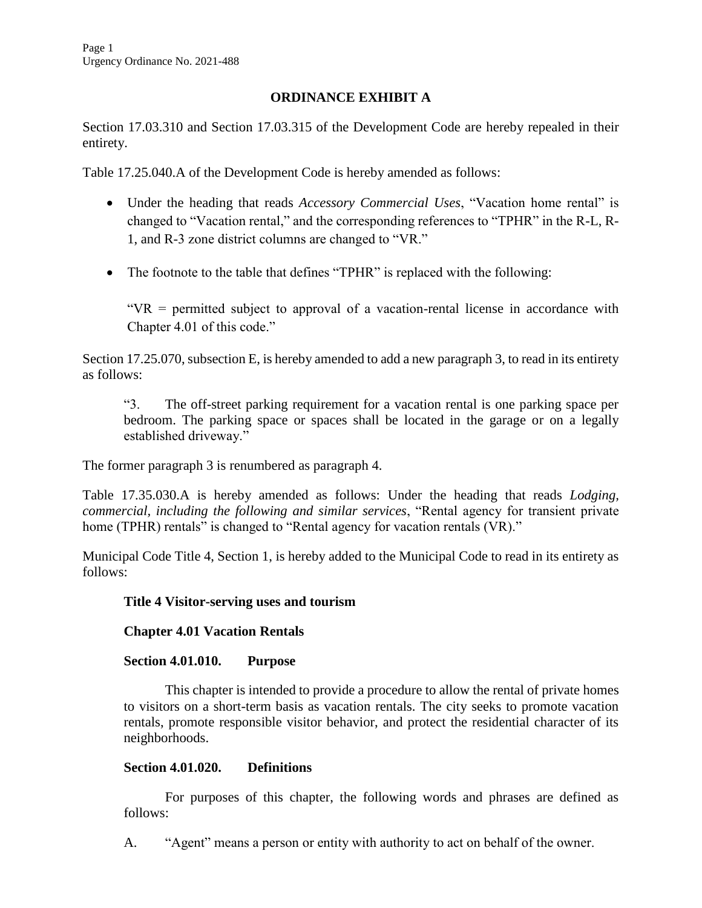# **ORDINANCE EXHIBIT A**

Section 17.03.310 and Section 17.03.315 of the Development Code are hereby repealed in their entirety.

Table 17.25.040.A of the Development Code is hereby amended as follows:

- Under the heading that reads *Accessory Commercial Uses*, "Vacation home rental" is changed to "Vacation rental," and the corresponding references to "TPHR" in the R-L, R-1, and R-3 zone district columns are changed to "VR."
- The footnote to the table that defines "TPHR" is replaced with the following:

" $VR$  = permitted subject to approval of a vacation-rental license in accordance with Chapter 4.01 of this code."

Section 17.25.070, subsection E, is hereby amended to add a new paragraph 3, to read in its entirety as follows:

"3. The off-street parking requirement for a vacation rental is one parking space per bedroom. The parking space or spaces shall be located in the garage or on a legally established driveway."

The former paragraph 3 is renumbered as paragraph 4.

Table 17.35.030.A is hereby amended as follows: Under the heading that reads *Lodging, commercial, including the following and similar services*, "Rental agency for transient private home (TPHR) rentals" is changed to "Rental agency for vacation rentals (VR)."

Municipal Code Title 4, Section 1, is hereby added to the Municipal Code to read in its entirety as follows:

#### **Title 4 Visitor-serving uses and tourism**

**Chapter 4.01 Vacation Rentals**

#### **Section 4.01.010. Purpose**

This chapter is intended to provide a procedure to allow the rental of private homes to visitors on a short-term basis as vacation rentals. The city seeks to promote vacation rentals, promote responsible visitor behavior, and protect the residential character of its neighborhoods.

#### **Section 4.01.020. Definitions**

For purposes of this chapter, the following words and phrases are defined as follows:

A. "Agent" means a person or entity with authority to act on behalf of the owner.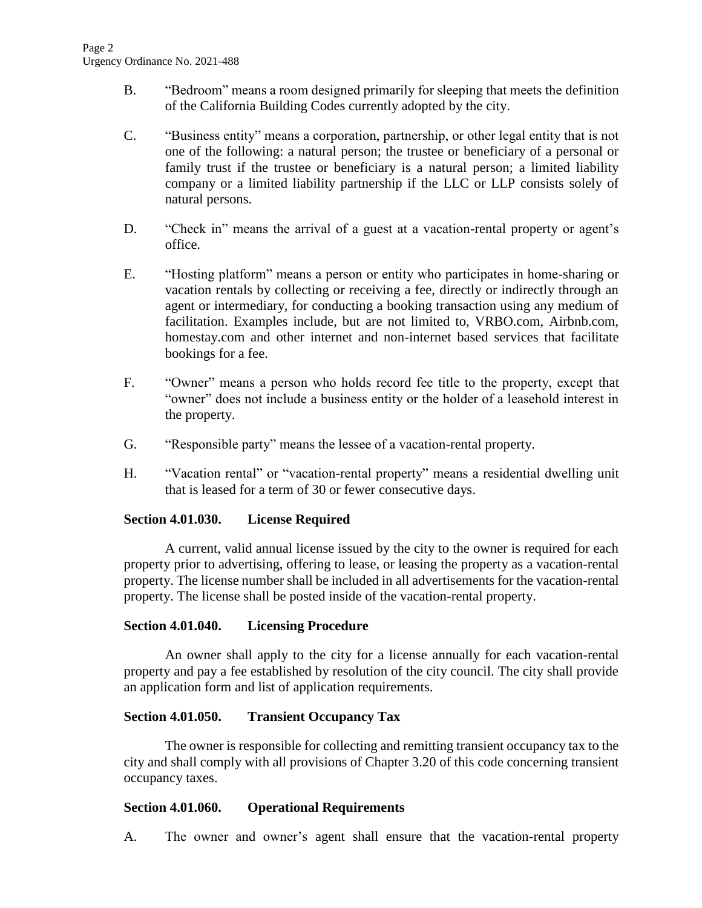- B. "Bedroom" means a room designed primarily for sleeping that meets the definition of the California Building Codes currently adopted by the city.
- C. "Business entity" means a corporation, partnership, or other legal entity that is not one of the following: a natural person; the trustee or beneficiary of a personal or family trust if the trustee or beneficiary is a natural person; a limited liability company or a limited liability partnership if the LLC or LLP consists solely of natural persons.
- D. "Check in" means the arrival of a guest at a vacation-rental property or agent's office.
- E. "Hosting platform" means a person or entity who participates in home-sharing or vacation rentals by collecting or receiving a fee, directly or indirectly through an agent or intermediary, for conducting a booking transaction using any medium of facilitation. Examples include, but are not limited to, VRBO.com, Airbnb.com, homestay.com and other internet and non-internet based services that facilitate bookings for a fee.
- F. "Owner" means a person who holds record fee title to the property, except that "owner" does not include a business entity or the holder of a leasehold interest in the property.
- G. "Responsible party" means the lessee of a vacation-rental property.
- H. "Vacation rental" or "vacation-rental property" means a residential dwelling unit that is leased for a term of 30 or fewer consecutive days.

## **Section 4.01.030. License Required**

A current, valid annual license issued by the city to the owner is required for each property prior to advertising, offering to lease, or leasing the property as a vacation-rental property. The license number shall be included in all advertisements for the vacation-rental property. The license shall be posted inside of the vacation-rental property.

#### **Section 4.01.040. Licensing Procedure**

An owner shall apply to the city for a license annually for each vacation-rental property and pay a fee established by resolution of the city council. The city shall provide an application form and list of application requirements.

## **Section 4.01.050. Transient Occupancy Tax**

The owner is responsible for collecting and remitting transient occupancy tax to the city and shall comply with all provisions of Chapter 3.20 of this code concerning transient occupancy taxes.

## **Section 4.01.060. Operational Requirements**

A. The owner and owner's agent shall ensure that the vacation-rental property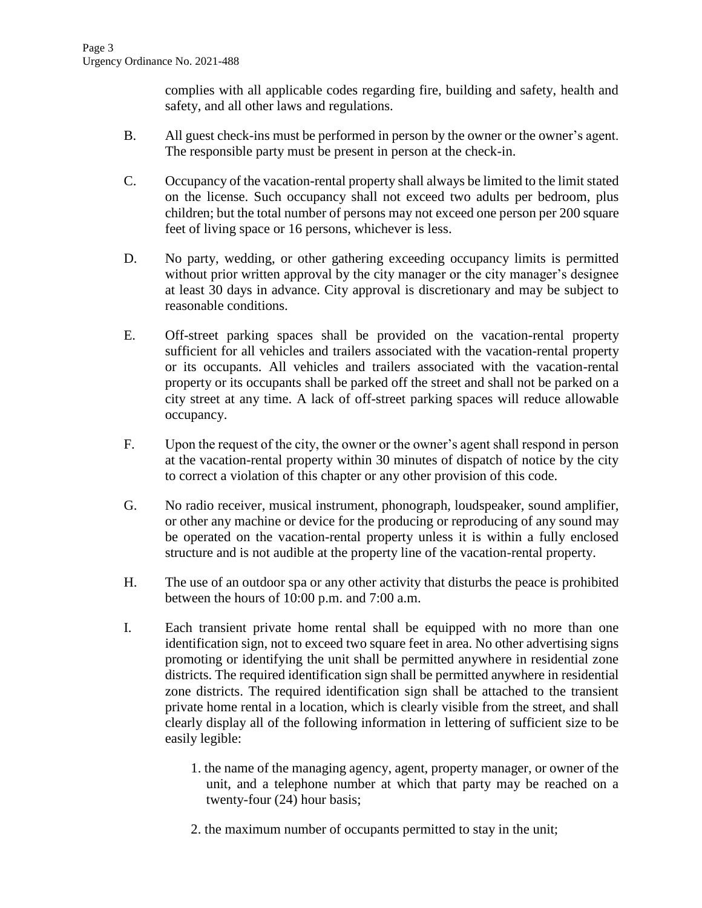complies with all applicable codes regarding fire, building and safety, health and safety, and all other laws and regulations.

- B. All guest check-ins must be performed in person by the owner or the owner's agent. The responsible party must be present in person at the check-in.
- C. Occupancy of the vacation-rental property shall always be limited to the limit stated on the license. Such occupancy shall not exceed two adults per bedroom, plus children; but the total number of persons may not exceed one person per 200 square feet of living space or 16 persons, whichever is less.
- D. No party, wedding, or other gathering exceeding occupancy limits is permitted without prior written approval by the city manager or the city manager's designee at least 30 days in advance. City approval is discretionary and may be subject to reasonable conditions.
- E. Off-street parking spaces shall be provided on the vacation-rental property sufficient for all vehicles and trailers associated with the vacation-rental property or its occupants. All vehicles and trailers associated with the vacation-rental property or its occupants shall be parked off the street and shall not be parked on a city street at any time. A lack of off-street parking spaces will reduce allowable occupancy.
- F. Upon the request of the city, the owner or the owner's agent shall respond in person at the vacation-rental property within 30 minutes of dispatch of notice by the city to correct a violation of this chapter or any other provision of this code.
- G. No radio receiver, musical instrument, phonograph, loudspeaker, sound amplifier, or other any machine or device for the producing or reproducing of any sound may be operated on the vacation-rental property unless it is within a fully enclosed structure and is not audible at the property line of the vacation-rental property.
- H. The use of an outdoor spa or any other activity that disturbs the peace is prohibited between the hours of 10:00 p.m. and 7:00 a.m.
- I. Each transient private home rental shall be equipped with no more than one identification sign, not to exceed two square feet in area. No other advertising signs promoting or identifying the unit shall be permitted anywhere in residential zone districts. The required identification sign shall be permitted anywhere in residential zone districts. The required identification sign shall be attached to the transient private home rental in a location, which is clearly visible from the street, and shall clearly display all of the following information in lettering of sufficient size to be easily legible:
	- 1. the name of the managing agency, agent, property manager, or owner of the unit, and a telephone number at which that party may be reached on a twenty-four (24) hour basis;
	- 2. the maximum number of occupants permitted to stay in the unit;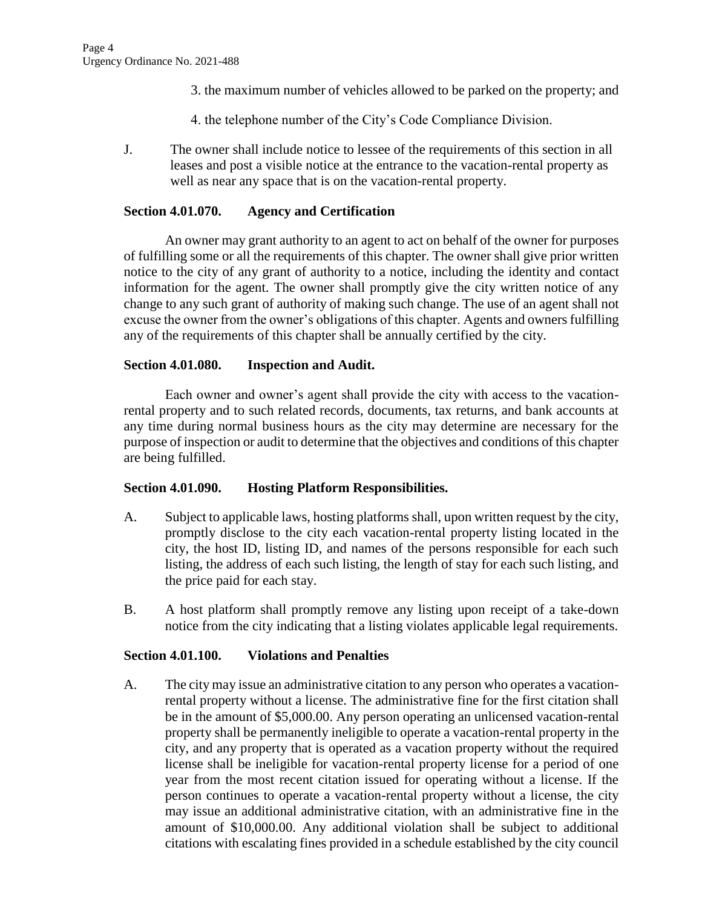- 3. the maximum number of vehicles allowed to be parked on the property; and
- 4. the telephone number of the City's Code Compliance Division.
- J. The owner shall include notice to lessee of the requirements of this section in all leases and post a visible notice at the entrance to the vacation-rental property as well as near any space that is on the vacation-rental property.

### **Section 4.01.070. Agency and Certification**

An owner may grant authority to an agent to act on behalf of the owner for purposes of fulfilling some or all the requirements of this chapter. The owner shall give prior written notice to the city of any grant of authority to a notice, including the identity and contact information for the agent. The owner shall promptly give the city written notice of any change to any such grant of authority of making such change. The use of an agent shall not excuse the owner from the owner's obligations of this chapter. Agents and owners fulfilling any of the requirements of this chapter shall be annually certified by the city.

### **Section 4.01.080. Inspection and Audit.**

Each owner and owner's agent shall provide the city with access to the vacationrental property and to such related records, documents, tax returns, and bank accounts at any time during normal business hours as the city may determine are necessary for the purpose of inspection or audit to determine that the objectives and conditions of this chapter are being fulfilled.

#### **Section 4.01.090. Hosting Platform Responsibilities.**

- A. Subject to applicable laws, hosting platforms shall, upon written request by the city, promptly disclose to the city each vacation-rental property listing located in the city, the host ID, listing ID, and names of the persons responsible for each such listing, the address of each such listing, the length of stay for each such listing, and the price paid for each stay.
- B. A host platform shall promptly remove any listing upon receipt of a take-down notice from the city indicating that a listing violates applicable legal requirements.

#### **Section 4.01.100. Violations and Penalties**

A. The city may issue an administrative citation to any person who operates a vacationrental property without a license. The administrative fine for the first citation shall be in the amount of \$5,000.00. Any person operating an unlicensed vacation-rental property shall be permanently ineligible to operate a vacation-rental property in the city, and any property that is operated as a vacation property without the required license shall be ineligible for vacation-rental property license for a period of one year from the most recent citation issued for operating without a license. If the person continues to operate a vacation-rental property without a license, the city may issue an additional administrative citation, with an administrative fine in the amount of \$10,000.00. Any additional violation shall be subject to additional citations with escalating fines provided in a schedule established by the city council